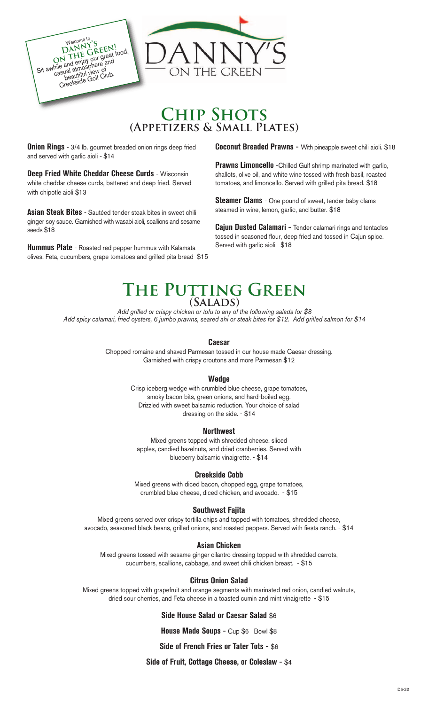

# **Chip Shots (Appetizers & Small Plates)**

**Onion Rings** - 3/4 lb. gourmet breaded onion rings deep fried and served with garlic aioli - \$14

**Deep Fried White Cheddar Cheese Curds** - Wisconsin white cheddar cheese curds, battered and deep fried. Served with chipotle aioli \$13

**Asian Steak Bites** - Sautéed tender steak bites in sweet chili ginger soy sauce. Garnished with wasabi aioli, scallions and sesame seeds \$18

**Hummus Plate** - Roasted red pepper hummus with Kalamata olives, Feta, cucumbers, grape tomatoes and grilled pita bread \$15 **Coconut Breaded Prawns -** With pineapple sweet chili aioli. \$18

**Prawns Limoncello** -Chilled Gulf shrimp marinated with garlic, shallots, olive oil, and white wine tossed with fresh basil, roasted tomatoes, and limoncello. Served with grilled pita bread. \$18

**Steamer Clams** - One pound of sweet, tender baby clams steamed in wine, lemon, garlic, and butter. \$18

**Cajun Dusted Calamari -** Tender calamari rings and tentacles tossed in seasoned flour, deep fried and tossed in Cajun spice. Served with garlic aioli \$18

## **The Putting Green (Salads)**

*Add grilled or crispy chicken or tofu to any of the following salads for \$8 Add spicy calamari, fried oysters, 6 jumbo prawns, seared ahi or steak bites for \$12. Add grilled salmon for \$14*

### **Caesar**

Chopped romaine and shaved Parmesan tossed in our house made Caesar dressing. Garnished with crispy croutons and more Parmesan \$12

### **Wedge**

Crisp iceberg wedge with crumbled blue cheese, grape tomatoes, smoky bacon bits, green onions, and hard-boiled egg. Drizzled with sweet balsamic reduction. Your choice of salad dressing on the side. - \$14

### **Northwest**

Mixed greens topped with shredded cheese, sliced apples, candied hazelnuts, and dried cranberries. Served with blueberry balsamic vinaigrette. - \$14

### **Creekside Cobb**

Mixed greens with diced bacon, chopped egg, grape tomatoes, crumbled blue cheese, diced chicken, and avocado. - \$15

### **Southwest Fajita**

Mixed greens served over crispy tortilla chips and topped with tomatoes, shredded cheese, avocado, seasoned black beans, grilled onions, and roasted peppers. Served with fiesta ranch. - \$14

### **Asian Chicken**

Mixed greens tossed with sesame ginger cilantro dressing topped with shredded carrots, cucumbers, scallions, cabbage, and sweet chili chicken breast. - \$15

### **Citrus Onion Salad**

Mixed greens topped with grapefruit and orange segments with marinated red onion, candied walnuts, dried sour cherries, and Feta cheese in a toasted cumin and mint vinaigrette - \$15

### **Side House Salad or Caesar Salad** \$6

**House Made Soups - Cup \$6 Bowl \$8** 

**Side of French Fries or Tater Tots -** \$6

### **Side of Fruit, Cottage Cheese, or Coleslaw -** \$4